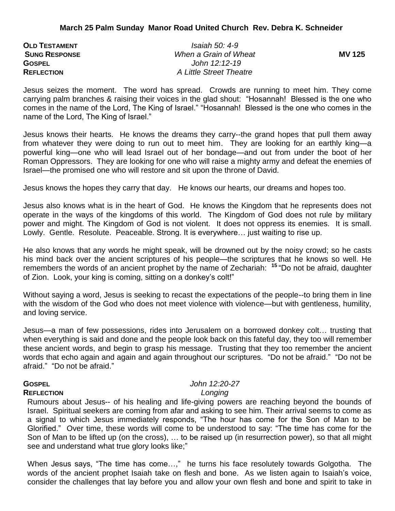| <b>OLD TESTAMENT</b> | <i>Isaiah 50: 4-9</i>   |              |
|----------------------|-------------------------|--------------|
| <b>SUNG RESPONSE</b> | When a Grain of Wheat   | <b>MV125</b> |
| <b>GOSPEL</b>        | John 12:12-19           |              |
| <b>REFLECTION</b>    | A Little Street Theatre |              |

Jesus seizes the moment. The word has spread. Crowds are running to meet him. They come carrying palm branches & raising their voices in the glad shout: "Hosannah! Blessed is the one who comes in the name of the Lord, The King of Israel." "Hosannah! Blessed is the one who comes in the name of the Lord, The King of Israel."

Jesus knows their hearts. He knows the dreams they carry--the grand hopes that pull them away from whatever they were doing to run out to meet him. They are looking for an earthly king—a powerful king—one who will lead Israel out of her bondage—and out from under the boot of her Roman Oppressors. They are looking for one who will raise a mighty army and defeat the enemies of Israel—the promised one who will restore and sit upon the throne of David.

Jesus knows the hopes they carry that day. He knows our hearts, our dreams and hopes too.

Jesus also knows what is in the heart of God. He knows the Kingdom that he represents does not operate in the ways of the kingdoms of this world. The Kingdom of God does not rule by military power and might. The Kingdom of God is not violent. It does not oppress its enemies. It is small. Lowly. Gentle. Resolute. Peaceable. Strong. It is everywhere… just waiting to rise up.

He also knows that any words he might speak, will be drowned out by the noisy crowd; so he casts his mind back over the ancient scriptures of his people—the scriptures that he knows so well. He remembers the words of an ancient prophet by the name of Zechariah: **<sup>15</sup>** "Do not be afraid, daughter of Zion. Look, your king is coming, sitting on a donkey's colt!"

Without saying a word, Jesus is seeking to recast the expectations of the people--to bring them in line with the wisdom of the God who does not meet violence with violence—but with gentleness, humility, and loving service.

Jesus—a man of few possessions, rides into Jerusalem on a borrowed donkey colt… trusting that when everything is said and done and the people look back on this fateful day, they too will remember these ancient words, and begin to grasp his message. Trusting that they too remember the ancient words that echo again and again and again throughout our scriptures. "Do not be afraid." "Do not be afraid." "Do not be afraid."

## **REFLECTION** *Longing*

# **GOSPEL** *John 12:20-27*

Rumours about Jesus-- of his healing and life-giving powers are reaching beyond the bounds of Israel. Spiritual seekers are coming from afar and asking to see him. Their arrival seems to come as a signal to which Jesus immediately responds, "The hour has come for the Son of Man to be Glorified." Over time, these words will come to be understood to say: "The time has come for the Son of Man to be lifted up (on the cross), … to be raised up (in resurrection power), so that all might see and understand what true glory looks like;"

When Jesus says, "The time has come…," he turns his face resolutely towards Golgotha. The words of the ancient prophet Isaiah take on flesh and bone. As we listen again to Isaiah's voice, consider the challenges that lay before you and allow your own flesh and bone and spirit to take in